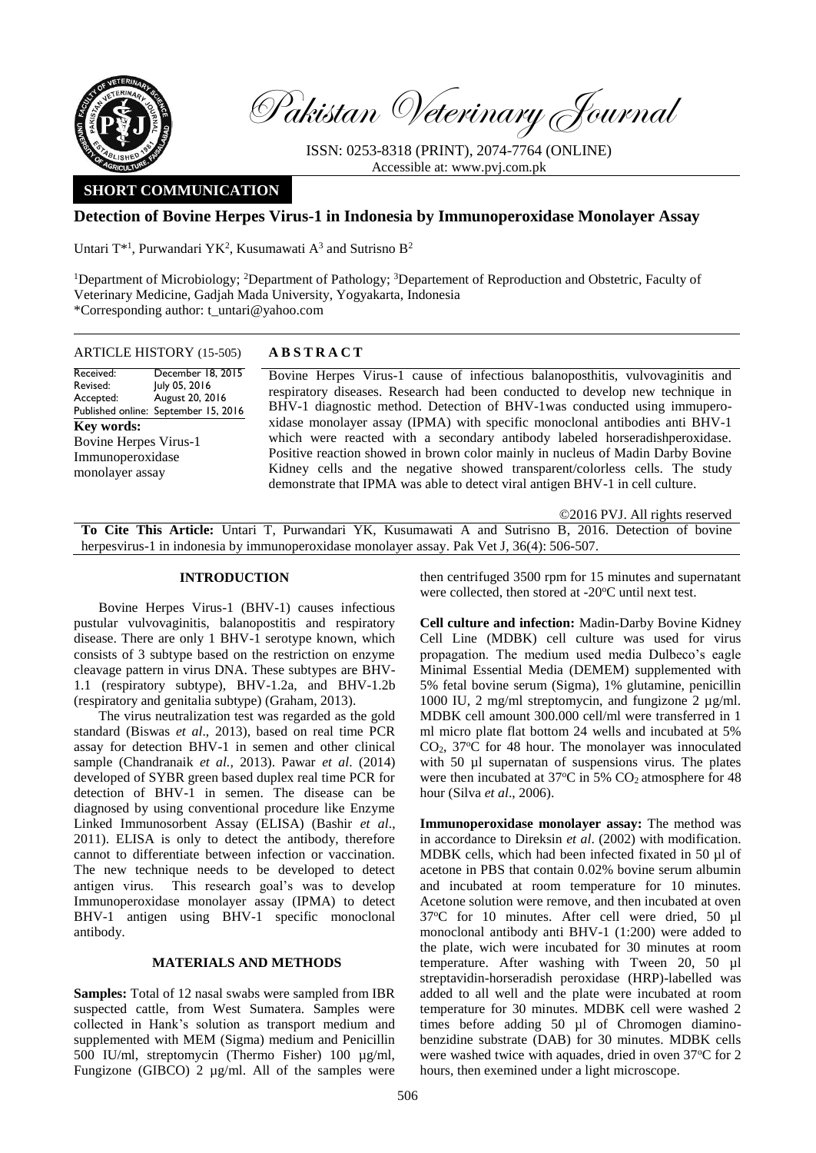

Pakistan Veterinary Journal

ISSN: 0253-8318 (PRINT), 2074-7764 (ONLINE) Accessible at: [www.pvj.com.pk](http://www.pvj.com.pk/)

# **SHORT COMMUNICATION**

# **Detection of Bovine Herpes Virus-1 in Indonesia by Immunoperoxidase Monolayer Assay**

Untari  $T^{*1}$ , Purwandari YK<sup>2</sup>, Kusumawati A<sup>3</sup> and Sutrisno B<sup>2</sup>

<sup>1</sup>Department of Microbiology; <sup>2</sup>Department of Pathology; <sup>3</sup>Departement of Reproduction and Obstetric, Faculty of Veterinary Medicine, Gadjah Mada University, Yogyakarta, Indonesia \*Corresponding author: t\_untari@yahoo.com

ARTICLE HISTORY (15-505) **A B S T R A C T**

Received: Revised: Accepted: Published online: September 15, 2016 December 18, 2015 July 05, 2016 August 20, 2016 **Key words:**  Bovine Herpes Virus-1 Immunoperoxidase monolayer assay

Bovine Herpes Virus-1 cause of infectious balanoposthitis, vulvovaginitis and respiratory diseases. Research had been conducted to develop new technique in BHV-1 diagnostic method. Detection of BHV-1was conducted using immuperoxidase monolayer assay (IPMA) with specific monoclonal antibodies anti BHV-1 which were reacted with a secondary antibody labeled horseradishperoxidase. Positive reaction showed in brown color mainly in nucleus of Madin Darby Bovine Kidney cells and the negative showed transparent/colorless cells. The study demonstrate that IPMA was able to detect viral antigen BHV-1 in cell culture.

©2016 PVJ. All rights reserved

**To Cite This Article:** Untari T, Purwandari YK, Kusumawati A and Sutrisno B, 2016. Detection of bovine herpesvirus-1 in indonesia by immunoperoxidase monolayer assay. Pak Vet J, 36(4): 506-507.

## **INTRODUCTION**

Bovine Herpes Virus-1 (BHV-1) causes infectious pustular vulvovaginitis, balanopostitis and respiratory disease. There are only 1 BHV-1 serotype known, which consists of 3 subtype based on the restriction on enzyme cleavage pattern in virus DNA. These subtypes are BHV-1.1 (respiratory subtype), BHV-1.2a, and BHV-1.2b (respiratory and genitalia subtype) (Graham, 2013).

The virus neutralization test was regarded as the gold standard (Biswas *et al*., 2013), based on real time PCR assay for detection BHV-1 in semen and other clinical sample (Chandranaik *et al.,* 2013). Pawar *et al*. (2014) developed of SYBR green based duplex real time PCR for detection of BHV-1 in semen. The disease can be diagnosed by using conventional procedure like Enzyme Linked Immunosorbent Assay (ELISA) (Bashir *et al*., 2011). ELISA is only to detect the antibody, therefore cannot to differentiate between infection or vaccination. The new technique needs to be developed to detect antigen virus. This research goal's was to develop Immunoperoxidase monolayer assay (IPMA) to detect BHV-1 antigen using BHV-1 specific monoclonal antibody.

## **MATERIALS AND METHODS**

**Samples:** Total of 12 nasal swabs were sampled from IBR suspected cattle, from West Sumatera. Samples were collected in Hank's solution as transport medium and supplemented with MEM (Sigma) medium and Penicillin 500 IU/ml, streptomycin (Thermo Fisher) 100 µg/ml, Fungizone (GIBCO) 2 µg/ml. All of the samples were

then centrifuged 3500 rpm for 15 minutes and supernatant were collected, then stored at -20°C until next test.

**Cell culture and infection:** Madin-Darby Bovine Kidney Cell Line (MDBK) cell culture was used for virus propagation. The medium used media Dulbeco's eagle Minimal Essential Media (DEMEM) supplemented with 5% fetal bovine serum (Sigma), 1% glutamine, penicillin 1000 IU, 2 mg/ml streptomycin, and fungizone 2 µg/ml. MDBK cell amount 300.000 cell/ml were transferred in 1 ml micro plate flat bottom 24 wells and incubated at 5%  $CO<sub>2</sub>$ , 37°C for 48 hour. The monolayer was innoculated with 50 µl supernatan of suspensions virus. The plates were then incubated at  $37^{\circ}$ C in 5% CO<sub>2</sub> atmosphere for 48 hour (Silva *et al*., 2006).

**Immunoperoxidase monolayer assay:** The method was in accordance to Direksin *et al*. (2002) with modification. MDBK cells, which had been infected fixated in 50 µl of acetone in PBS that contain 0.02% bovine serum albumin and incubated at room temperature for 10 minutes. Acetone solution were remove, and then incubated at oven 37°C for 10 minutes. After cell were dried, 50 µl monoclonal antibody anti BHV-1 (1:200) were added to the plate, wich were incubated for 30 minutes at room temperature. After washing with Tween 20, 50 µl streptavidin-horseradish peroxidase (HRP)-labelled was added to all well and the plate were incubated at room temperature for 30 minutes. MDBK cell were washed 2 times before adding 50 µl of Chromogen diaminobenzidine substrate (DAB) for 30 minutes. MDBK cells were washed twice with aquades, dried in oven 37°C for 2 hours, then exemined under a light microscope.